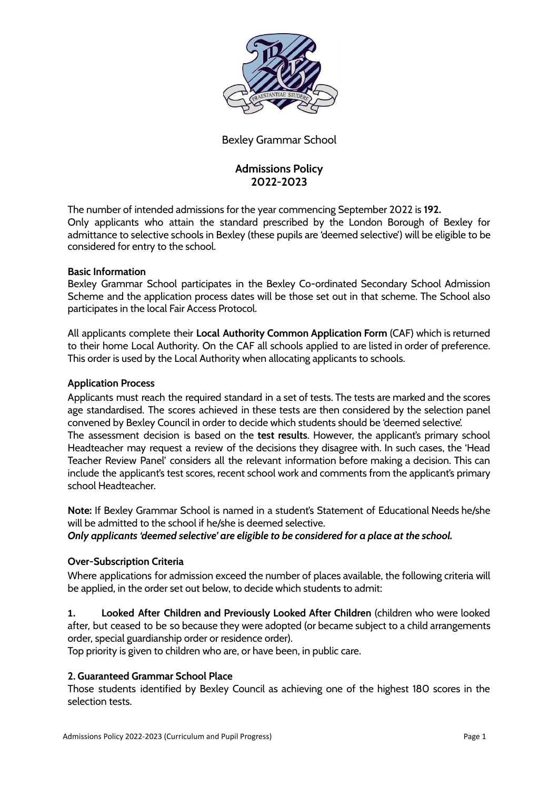

# Bexley Grammar School

# **Admissions Policy 2022-2023**

The number of intended admissions for the year commencing September 2022 is **192.** Only applicants who attain the standard prescribed by the London Borough of Bexley for admittance to selective schools in Bexley (these pupils are 'deemed selective') will be eligible to be considered for entry to the school.

## **Basic Information**

Bexley Grammar School participates in the Bexley Co-ordinated Secondary School Admission Scheme and the application process dates will be those set out in that scheme. The School also participates in the local Fair Access Protocol.

All applicants complete their **Local Authority Common Application Form** (CAF) which is returned to their home Local Authority. On the CAF all schools applied to are listed in order of preference. This order is used by the Local Authority when allocating applicants to schools.

#### **Application Process**

Applicants must reach the required standard in a set of tests. The tests are marked and the scores age standardised. The scores achieved in these tests are then considered by the selection panel convened by Bexley Council in order to decide which students should be 'deemed selective'. The assessment decision is based on the **test results**. However, the applicant's primary school Headteacher may request a review of the decisions they disagree with. In such cases, the 'Head Teacher Review Panel' considers all the relevant information before making a decision. This can include the applicant's test scores, recent school work and comments from the applicant's primary school Headteacher.

**Note:** If Bexley Grammar School is named in a student's Statement of Educational Needs he/she will be admitted to the school if he/she is deemed selective.

*Only applicants 'deemed selective' are eligible to be considered for a place at the school.*

## **Over-Subscription Criteria**

Where applications for admission exceed the number of places available, the following criteria will be applied, in the order set out below, to decide which students to admit:

**1. Looked After Children and Previously Looked After Children** (children who were looked after, but ceased to be so because they were adopted (or became subject to a child arrangements order, special guardianship order or residence order).

Top priority is given to children who are, or have been, in public care.

## **2. Guaranteed Grammar School Place**

Those students identified by Bexley Council as achieving one of the highest 180 scores in the selection tests.